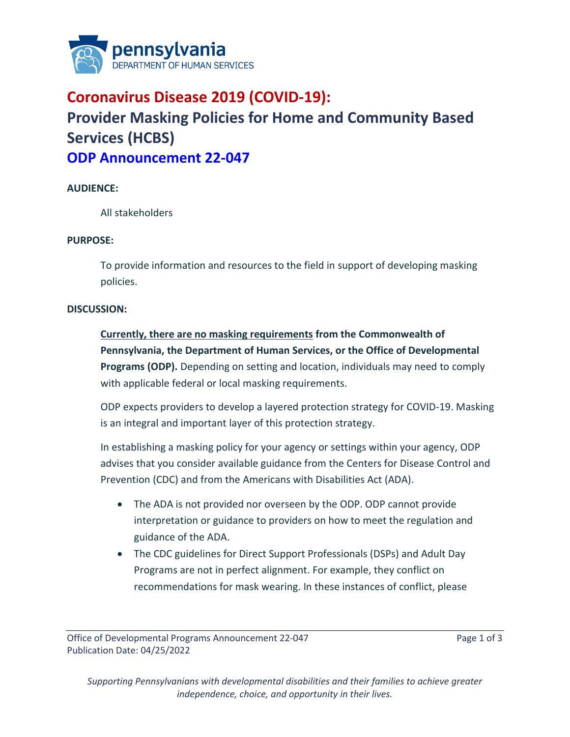

## **Coronavirus Disease 2019 (COVID-19): Provider Masking Policies for Home and Community Based Services (HCBS) ODP Announcement 22-047**

## **AUDIENCE:**

All stakeholders

## **PURPOSE:**

To provide information and resources to the field in support of developing masking policies.

## **DISCUSSION:**

**Currently, there are no masking requirements from the Commonwealth of Pennsylvania, the Department of Human Services, or the Office of Developmental Programs (ODP).** Depending on setting and location, individuals may need to comply with applicable federal or local masking requirements.

ODP expects providers to develop a layered protection strategy for COVID-19. Masking is an integral and important layer of this protection strategy.

In establishing a masking policy for your agency or settings within your agency, ODP advises that you consider available guidance from the Centers for Disease Control and Prevention (CDC) and from the Americans with Disabilities Act (ADA).

- The ADA is not provided nor overseen by the ODP. ODP cannot provide interpretation or guidance to providers on how to meet the regulation and guidance of the ADA.
- The CDC guidelines for Direct Support Professionals (DSPs) and Adult Day Programs are not in perfect alignment. For example, they conflict on recommendations for mask wearing. In these instances of conflict, please

*Supporting Pennsylvanians with developmental disabilities and their families to achieve greater independence, choice, and opportunity in their lives.*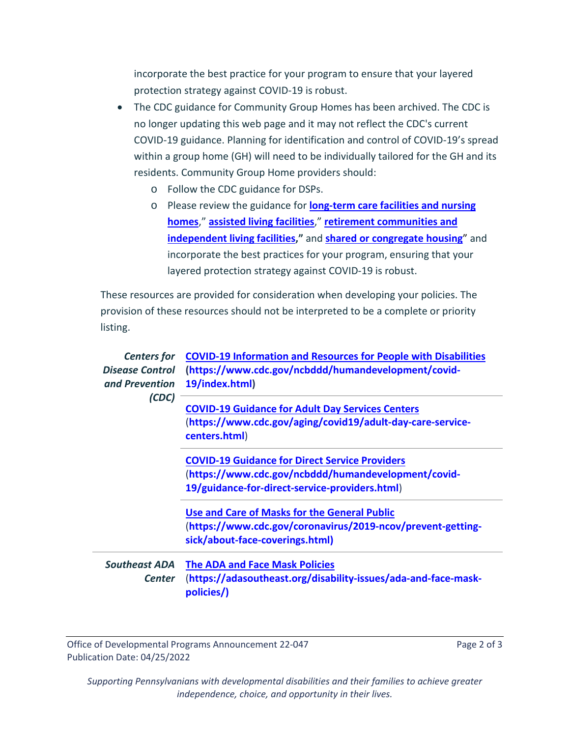incorporate the best practice for your program to ensure that your layered protection strategy against COVID-19 is robust.

- The CDC guidance for Community Group Homes has been archived. The CDC is no longer updating this web page and it may not reflect the CDC's current COVID-19 guidance. Planning for identification and control of COVID-19's spread within a group home (GH) will need to be individually tailored for the GH and its residents. Community Group Home providers should:
	- o Follow the CDC guidance for DSPs.
	- o Please review the guidance for **[long-term care facilities and nursing](https://www.cdc.gov/coronavirus/2019-ncov/hcp/long-term-care.html)  [homes](https://www.cdc.gov/coronavirus/2019-ncov/hcp/long-term-care.html)**," **[assisted living facilities](https://www.cdc.gov/coronavirus/2019-ncov/hcp/assisted-living.html)**," **[retirement communities and](https://www.cdc.gov/coronavirus/2019-ncov/community/retirement/considerations.html)  [independent living facilities,](https://www.cdc.gov/coronavirus/2019-ncov/community/retirement/considerations.html)"** and **[shared or congregate housing](https://www.cdc.gov/coronavirus/2019-ncov/community/shared-congregate-house/guidance-shared-congregate-housing.html)**" and incorporate the best practices for your program, ensuring that your layered protection strategy against COVID-19 is robust.

These resources are provided for consideration when developing your policies. The provision of these resources should not be interpreted to be a complete or priority listing.

| <b>Centers for</b><br><b>Disease Control</b><br>and Prevention | <b>COVID-19 Information and Resources for People with Disabilities</b><br>(https://www.cdc.gov/ncbddd/humandevelopment/covid-<br>19/index.html)                |
|----------------------------------------------------------------|----------------------------------------------------------------------------------------------------------------------------------------------------------------|
| (CDC)                                                          | <b>COVID-19 Guidance for Adult Day Services Centers</b><br>(https://www.cdc.gov/aging/covid19/adult-day-care-service-<br>centers.html)                         |
|                                                                | <b>COVID-19 Guidance for Direct Service Providers</b><br>(https://www.cdc.gov/ncbddd/humandevelopment/covid-<br>19/guidance-for-direct-service-providers.html) |
|                                                                | Use and Care of Masks for the General Public<br>(https://www.cdc.gov/coronavirus/2019-ncov/prevent-getting-<br>sick/about-face-coverings.html)                 |
| <b>Southeast ADA</b><br>Center                                 | <b>The ADA and Face Mask Policies</b><br>(https://adasoutheast.org/disability-issues/ada-and-face-mask-<br>policies/)                                          |

Office of Developmental Programs Announcement 22-047 Page 2 of 3 Publication Date: 04/25/2022

*Supporting Pennsylvanians with developmental disabilities and their families to achieve greater independence, choice, and opportunity in their lives.*